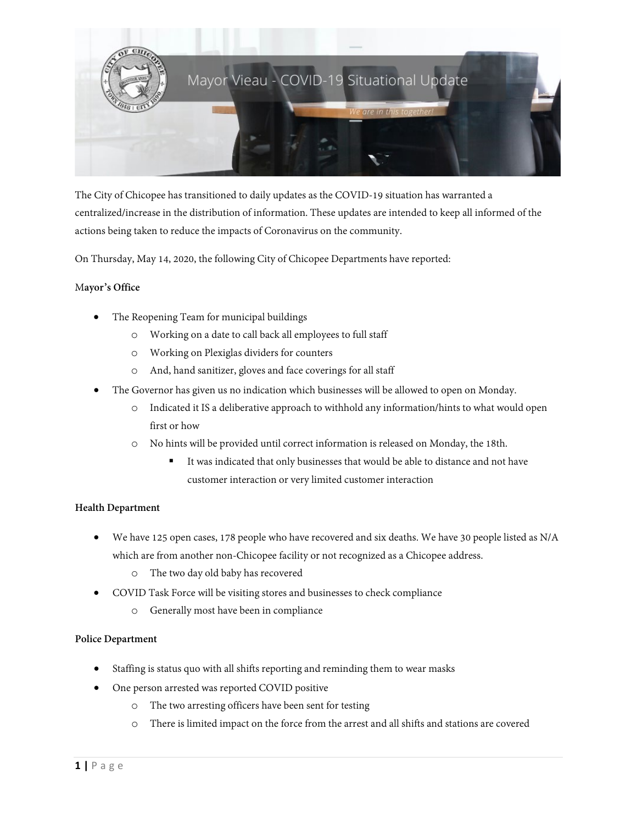

The City of Chicopee has transitioned to daily updates as the COVID-19 situation has warranted a centralized/increase in the distribution of information. These updates are intended to keep all informed of the actions being taken to reduce the impacts of Coronavirus on the community.

On Thursday, May 14, 2020, the following City of Chicopee Departments have reported:

## M**ayor's Office**

- The Reopening Team for municipal buildings
	- o Working on a date to call back all employees to full staff
	- o Working on Plexiglas dividers for counters
	- o And, hand sanitizer, gloves and face coverings for all staff
- The Governor has given us no indication which businesses will be allowed to open on Monday.
	- o Indicated it IS a deliberative approach to withhold any information/hints to what would open first or how
	- o No hints will be provided until correct information is released on Monday, the 18th.
		- It was indicated that only businesses that would be able to distance and not have customer interaction or very limited customer interaction

## **Health Department**

- We have 125 open cases, 178 people who have recovered and six deaths. We have 30 people listed as N/A which are from another non-Chicopee facility or not recognized as a Chicopee address.
	- o The two day old baby has recovered
- COVID Task Force will be visiting stores and businesses to check compliance
	- o Generally most have been in compliance

## **Police Department**

- Staffing is status quo with all shifts reporting and reminding them to wear masks
- One person arrested was reported COVID positive
	- o The two arresting officers have been sent for testing
	- o There is limited impact on the force from the arrest and all shifts and stations are covered